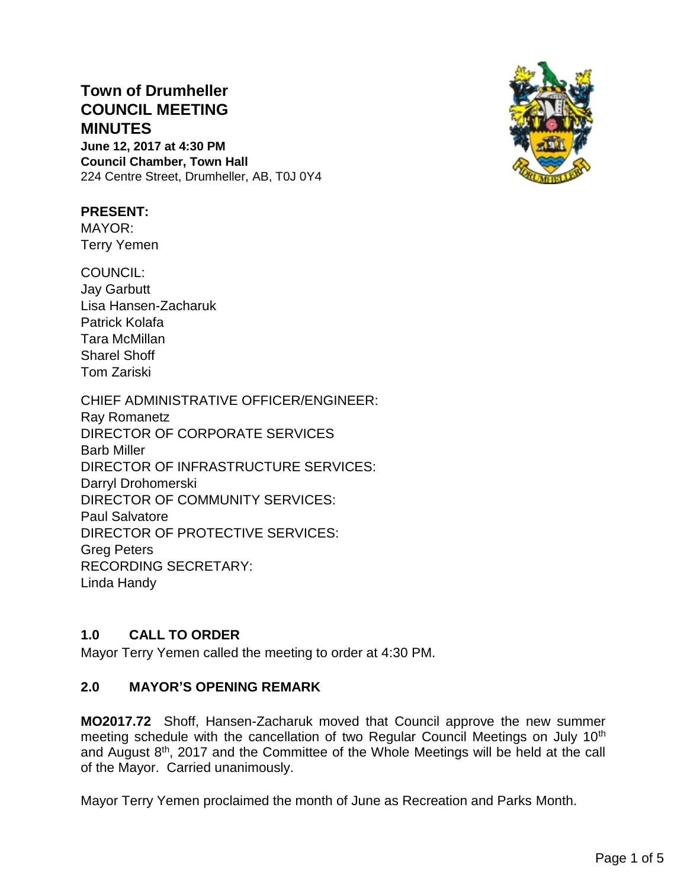# **Town of Drumheller COUNCIL MEETING MINUTES**

**June 12, 2017 at 4:30 PM Council Chamber, Town Hall** 224 Centre Street, Drumheller, AB, T0J 0Y4



# **PRESENT:**

MAYOR: Terry Yemen

COUNCIL: Jay Garbutt Lisa Hansen-Zacharuk Patrick Kolafa Tara McMillan Sharel Shoff Tom Zariski

CHIEF ADMINISTRATIVE OFFICER/ENGINEER: Ray Romanetz DIRECTOR OF CORPORATE SERVICES Barb Miller DIRECTOR OF INFRASTRUCTURE SERVICES: Darryl Drohomerski DIRECTOR OF COMMUNITY SERVICES: Paul Salvatore DIRECTOR OF PROTECTIVE SERVICES: Greg Peters RECORDING SECRETARY: Linda Handy

# **1.0 CALL TO ORDER**

Mayor Terry Yemen called the meeting to order at 4:30 PM.

# **2.0 MAYOR'S OPENING REMARK**

**MO2017.72** Shoff, Hansen-Zacharuk moved that Council approve the new summer meeting schedule with the cancellation of two Regular Council Meetings on July 10<sup>th</sup> and August 8<sup>th</sup>, 2017 and the Committee of the Whole Meetings will be held at the call of the Mayor. Carried unanimously.

Mayor Terry Yemen proclaimed the month of June as Recreation and Parks Month.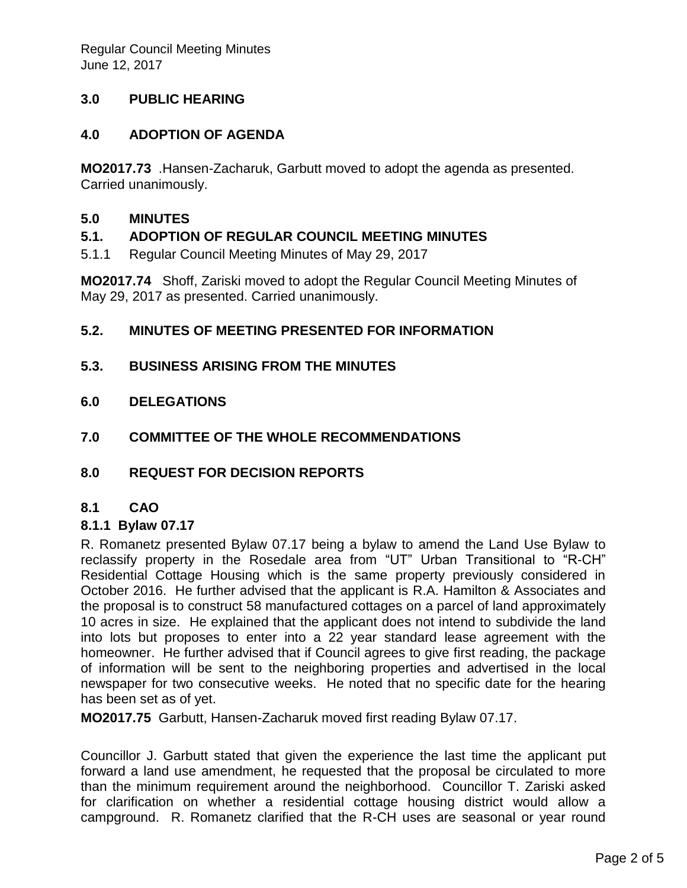# **3.0 PUBLIC HEARING**

## **4.0 ADOPTION OF AGENDA**

**MO2017.73** .Hansen-Zacharuk, Garbutt moved to adopt the agenda as presented. Carried unanimously.

#### **5.0 MINUTES**

#### **5.1. ADOPTION OF REGULAR COUNCIL MEETING MINUTES**

5.1.1 Regular Council Meeting Minutes of May 29, 2017

**MO2017.74** Shoff, Zariski moved to adopt the Regular Council Meeting Minutes of May 29, 2017 as presented. Carried unanimously.

### **5.2. MINUTES OF MEETING PRESENTED FOR INFORMATION**

- **5.3. BUSINESS ARISING FROM THE MINUTES**
- **6.0 DELEGATIONS**
- **7.0 COMMITTEE OF THE WHOLE RECOMMENDATIONS**
- **8.0 REQUEST FOR DECISION REPORTS**

#### **8.1 CAO**

#### **8.1.1 Bylaw 07.17**

R. Romanetz presented Bylaw 07.17 being a bylaw to amend the Land Use Bylaw to reclassify property in the Rosedale area from "UT" Urban Transitional to "R-CH" Residential Cottage Housing which is the same property previously considered in October 2016. He further advised that the applicant is R.A. Hamilton & Associates and the proposal is to construct 58 manufactured cottages on a parcel of land approximately 10 acres in size. He explained that the applicant does not intend to subdivide the land into lots but proposes to enter into a 22 year standard lease agreement with the homeowner. He further advised that if Council agrees to give first reading, the package of information will be sent to the neighboring properties and advertised in the local newspaper for two consecutive weeks. He noted that no specific date for the hearing has been set as of yet.

**MO2017.75** Garbutt, Hansen-Zacharuk moved first reading Bylaw 07.17.

Councillor J. Garbutt stated that given the experience the last time the applicant put forward a land use amendment, he requested that the proposal be circulated to more than the minimum requirement around the neighborhood. Councillor T. Zariski asked for clarification on whether a residential cottage housing district would allow a campground. R. Romanetz clarified that the R-CH uses are seasonal or year round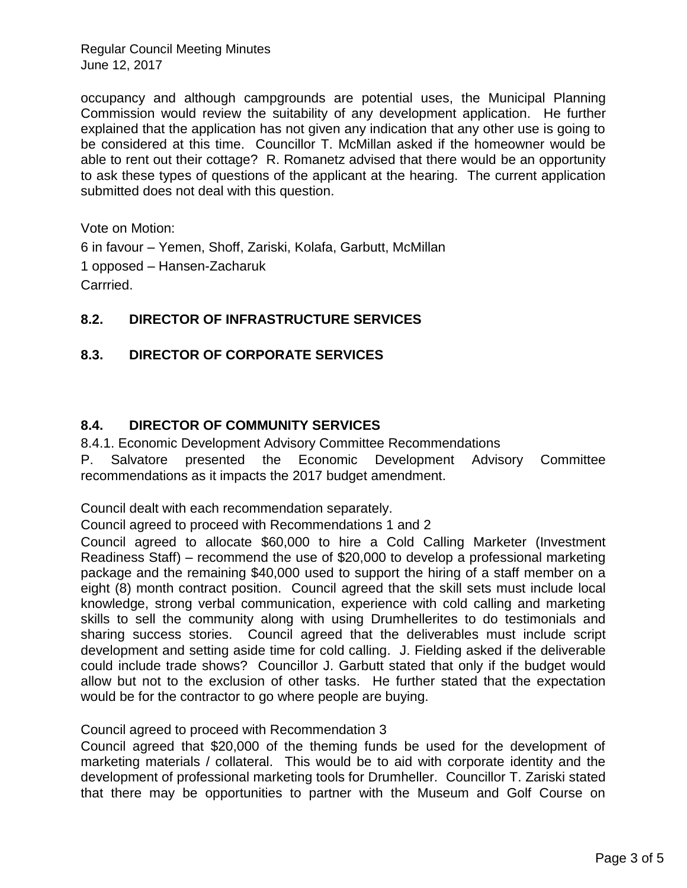Regular Council Meeting Minutes June 12, 2017

occupancy and although campgrounds are potential uses, the Municipal Planning Commission would review the suitability of any development application. He further explained that the application has not given any indication that any other use is going to be considered at this time. Councillor T. McMillan asked if the homeowner would be able to rent out their cottage? R. Romanetz advised that there would be an opportunity to ask these types of questions of the applicant at the hearing. The current application submitted does not deal with this question.

Vote on Motion:

6 in favour – Yemen, Shoff, Zariski, Kolafa, Garbutt, McMillan 1 opposed – Hansen-Zacharuk Carrried.

# **8.2. DIRECTOR OF INFRASTRUCTURE SERVICES**

# **8.3. DIRECTOR OF CORPORATE SERVICES**

# **8.4. DIRECTOR OF COMMUNITY SERVICES**

8.4.1. Economic Development Advisory Committee Recommendations

P. Salvatore presented the Economic Development Advisory Committee recommendations as it impacts the 2017 budget amendment.

Council dealt with each recommendation separately.

Council agreed to proceed with Recommendations 1 and 2

Council agreed to allocate \$60,000 to hire a Cold Calling Marketer (Investment Readiness Staff) – recommend the use of \$20,000 to develop a professional marketing package and the remaining \$40,000 used to support the hiring of a staff member on a eight (8) month contract position. Council agreed that the skill sets must include local knowledge, strong verbal communication, experience with cold calling and marketing skills to sell the community along with using Drumhellerites to do testimonials and sharing success stories. Council agreed that the deliverables must include script development and setting aside time for cold calling. J. Fielding asked if the deliverable could include trade shows? Councillor J. Garbutt stated that only if the budget would allow but not to the exclusion of other tasks. He further stated that the expectation would be for the contractor to go where people are buying.

#### Council agreed to proceed with Recommendation 3

Council agreed that \$20,000 of the theming funds be used for the development of marketing materials / collateral. This would be to aid with corporate identity and the development of professional marketing tools for Drumheller. Councillor T. Zariski stated that there may be opportunities to partner with the Museum and Golf Course on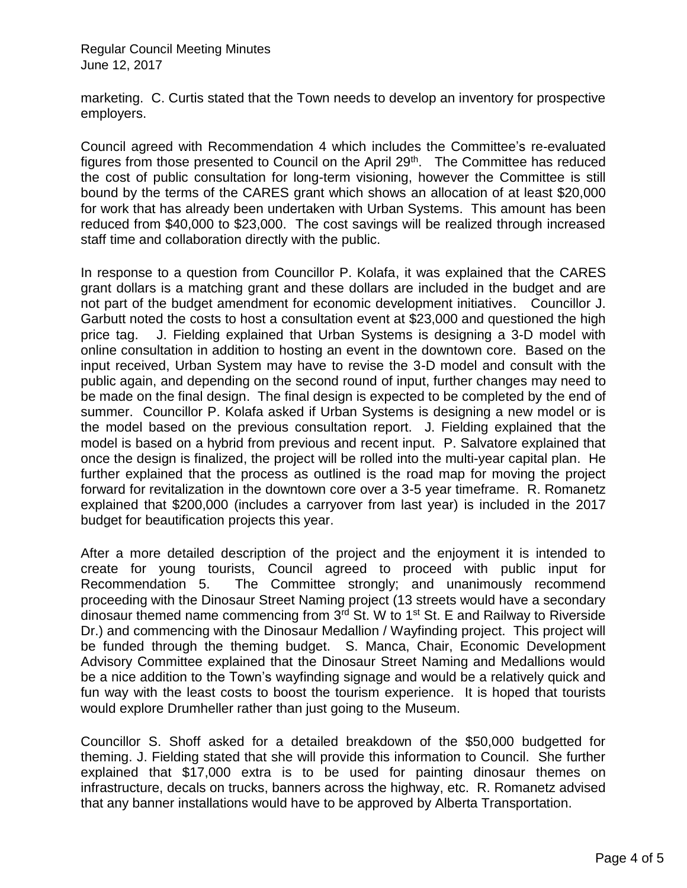Regular Council Meeting Minutes June 12, 2017

marketing. C. Curtis stated that the Town needs to develop an inventory for prospective employers.

Council agreed with Recommendation 4 which includes the Committee's re-evaluated figures from those presented to Council on the April 29<sup>th</sup>. The Committee has reduced the cost of public consultation for long-term visioning, however the Committee is still bound by the terms of the CARES grant which shows an allocation of at least \$20,000 for work that has already been undertaken with Urban Systems. This amount has been reduced from \$40,000 to \$23,000. The cost savings will be realized through increased staff time and collaboration directly with the public.

In response to a question from Councillor P. Kolafa, it was explained that the CARES grant dollars is a matching grant and these dollars are included in the budget and are not part of the budget amendment for economic development initiatives. Councillor J. Garbutt noted the costs to host a consultation event at \$23,000 and questioned the high price tag. J. Fielding explained that Urban Systems is designing a 3-D model with online consultation in addition to hosting an event in the downtown core. Based on the input received, Urban System may have to revise the 3-D model and consult with the public again, and depending on the second round of input, further changes may need to be made on the final design. The final design is expected to be completed by the end of summer. Councillor P. Kolafa asked if Urban Systems is designing a new model or is the model based on the previous consultation report. J. Fielding explained that the model is based on a hybrid from previous and recent input. P. Salvatore explained that once the design is finalized, the project will be rolled into the multi-year capital plan. He further explained that the process as outlined is the road map for moving the project forward for revitalization in the downtown core over a 3-5 year timeframe. R. Romanetz explained that \$200,000 (includes a carryover from last year) is included in the 2017 budget for beautification projects this year.

After a more detailed description of the project and the enjoyment it is intended to create for young tourists, Council agreed to proceed with public input for Recommendation 5. The Committee strongly; and unanimously recommend proceeding with the Dinosaur Street Naming project (13 streets would have a secondary dinosaur themed name commencing from  $3^{rd}$  St. W to 1<sup>st</sup> St. E and Railway to Riverside Dr.) and commencing with the Dinosaur Medallion / Wayfinding project. This project will be funded through the theming budget. S. Manca, Chair, Economic Development Advisory Committee explained that the Dinosaur Street Naming and Medallions would be a nice addition to the Town's wayfinding signage and would be a relatively quick and fun way with the least costs to boost the tourism experience. It is hoped that tourists would explore Drumheller rather than just going to the Museum.

Councillor S. Shoff asked for a detailed breakdown of the \$50,000 budgetted for theming. J. Fielding stated that she will provide this information to Council. She further explained that \$17,000 extra is to be used for painting dinosaur themes on infrastructure, decals on trucks, banners across the highway, etc. R. Romanetz advised that any banner installations would have to be approved by Alberta Transportation.